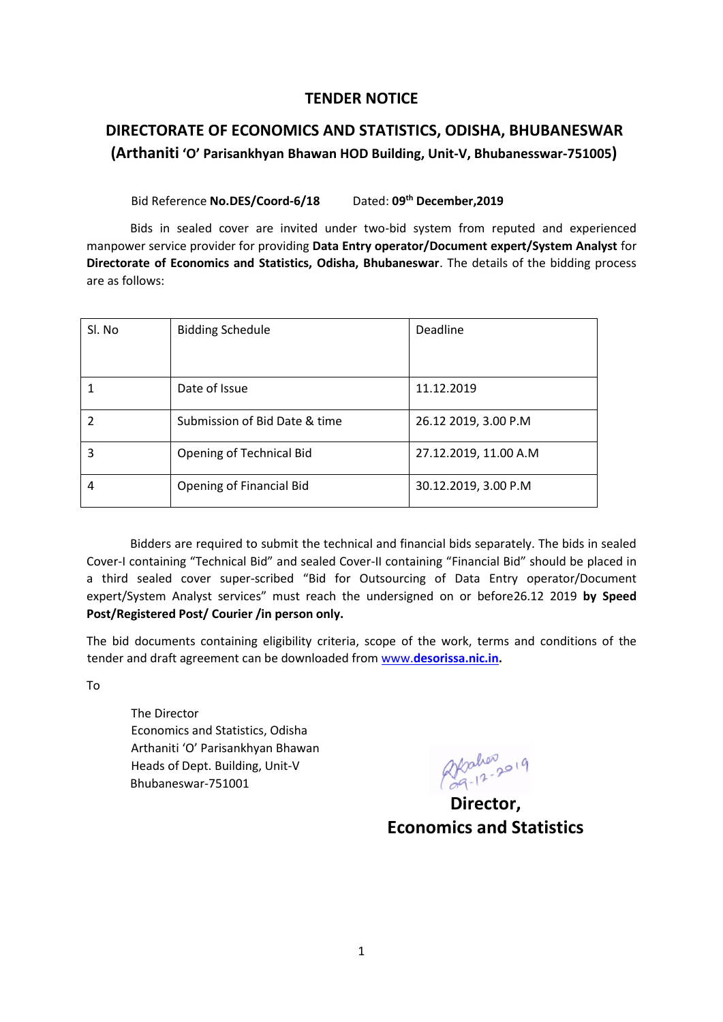#### **TENDER NOTICE**

## **DIRECTORATE OF ECONOMICS AND STATISTICS, ODISHA, BHUBANESWAR (Arthaniti 'O' Parisankhyan Bhawan HOD Building, Unit-V, Bhubanesswar-751005)**

Bid Reference **No.DES/Coord-6/18** Dated: 09<sup>th</sup> December.2019

Bids in sealed cover are invited under two-bid system from reputed and experienced manpower service provider for providing **Data Entry operator/Document expert/System Analyst** for **Directorate of Economics and Statistics, Odisha, Bhubaneswar**. The details of the bidding process are as follows:

| Sl. No | <b>Bidding Schedule</b>       | Deadline              |
|--------|-------------------------------|-----------------------|
|        | Date of Issue                 | 11.12.2019            |
|        | Submission of Bid Date & time | 26.12 2019, 3.00 P.M  |
| 3      | Opening of Technical Bid      | 27.12.2019, 11.00 A.M |
| 4      | Opening of Financial Bid      | 30.12.2019, 3.00 P.M  |

Bidders are required to submit the technical and financial bids separately. The bids in sealed Cover-I containing "Technical Bid" and sealed Cover-II containing "Financial Bid" should be placed in a third sealed cover super-scribed "Bid for Outsourcing of Data Entry operator/Document expert/System Analyst services" must reach the undersigned on or before26.12 2019 **by Speed Post/Registered Post/ Courier /in person only.** 

The bid documents containing eligibility criteria, scope of the work, terms and conditions of the tender and draft agreement can be downloaded from [www.](http://www.desorissa.nic.in/)**[desorissa.nic.in.](http://www.desorissa.nic.in/)**

To

The Director Economics and Statistics, Odisha Arthaniti 'O' Parisankhyan Bhawan Heads of Dept. Building, Unit-V Bhubaneswar-751001

akahen<sub>2019</sub>

**Economics and Statistics**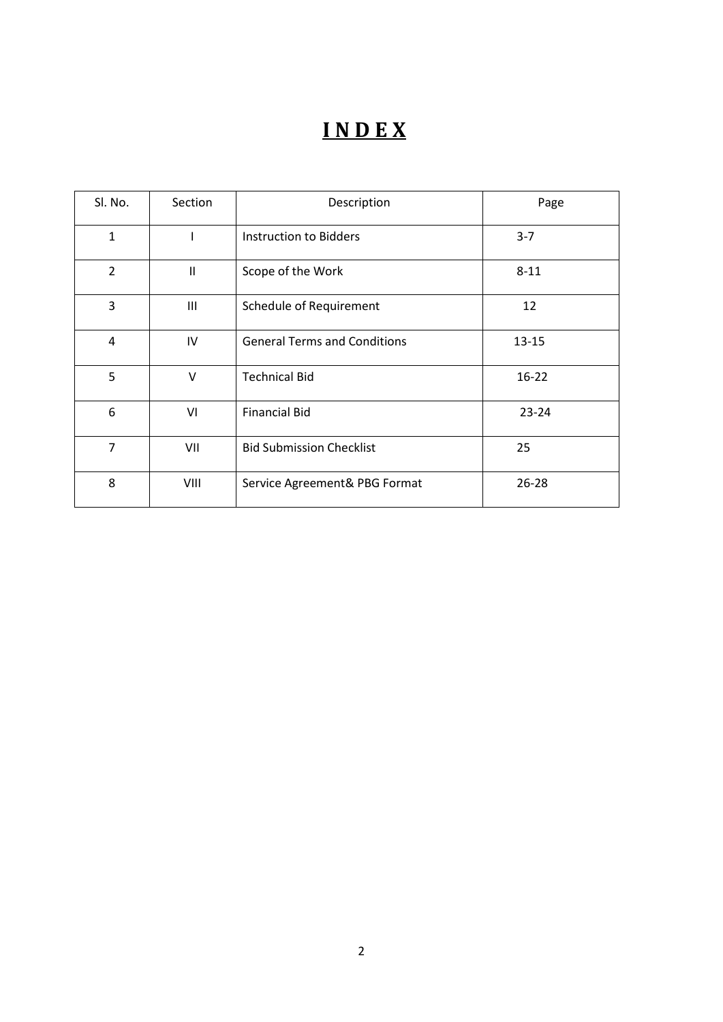# **I N D E X**

| Sl. No.        | Section                                                                                                                                                                                                                                                                                                                                                                                 | Description                         | Page      |
|----------------|-----------------------------------------------------------------------------------------------------------------------------------------------------------------------------------------------------------------------------------------------------------------------------------------------------------------------------------------------------------------------------------------|-------------------------------------|-----------|
| $\mathbf{1}$   | ı                                                                                                                                                                                                                                                                                                                                                                                       | Instruction to Bidders              | $3 - 7$   |
| $\overline{2}$ | $\mathbf{H}% =\mathbf{H}(\mathbf{Q}^{T}\mathbf{Q}^{T}\mathbf{Q}^{T}\mathbf{Q}^{T}% )\mathbf{Q}^{T} \mathbf{Q}^{T} \mathbf{Q}^{T} \mathbf{Q}^{T} \mathbf{Q}^{T} \mathbf{Q}^{T} \mathbf{Q}^{T} \mathbf{Q}^{T} \mathbf{Q}^{T} \mathbf{Q}^{T} \mathbf{Q}^{T} \mathbf{Q}^{T} \mathbf{Q}^{T} \mathbf{Q}^{T} \mathbf{Q}^{T} \mathbf{Q}^{T} \mathbf{Q}^{T} \mathbf{Q}^{T} \mathbf{Q}^{T} \math$ | Scope of the Work                   | $8 - 11$  |
| 3              | Ш                                                                                                                                                                                                                                                                                                                                                                                       | Schedule of Requirement             | 12        |
| 4              | IV                                                                                                                                                                                                                                                                                                                                                                                      | <b>General Terms and Conditions</b> | $13 - 15$ |
| 5              | $\vee$                                                                                                                                                                                                                                                                                                                                                                                  | <b>Technical Bid</b>                | $16 - 22$ |
| 6              | VI                                                                                                                                                                                                                                                                                                                                                                                      | <b>Financial Bid</b>                | $23 - 24$ |
| $\overline{7}$ | VII                                                                                                                                                                                                                                                                                                                                                                                     | <b>Bid Submission Checklist</b>     | 25        |
| 8              | VIII                                                                                                                                                                                                                                                                                                                                                                                    | Service Agreement& PBG Format       | $26 - 28$ |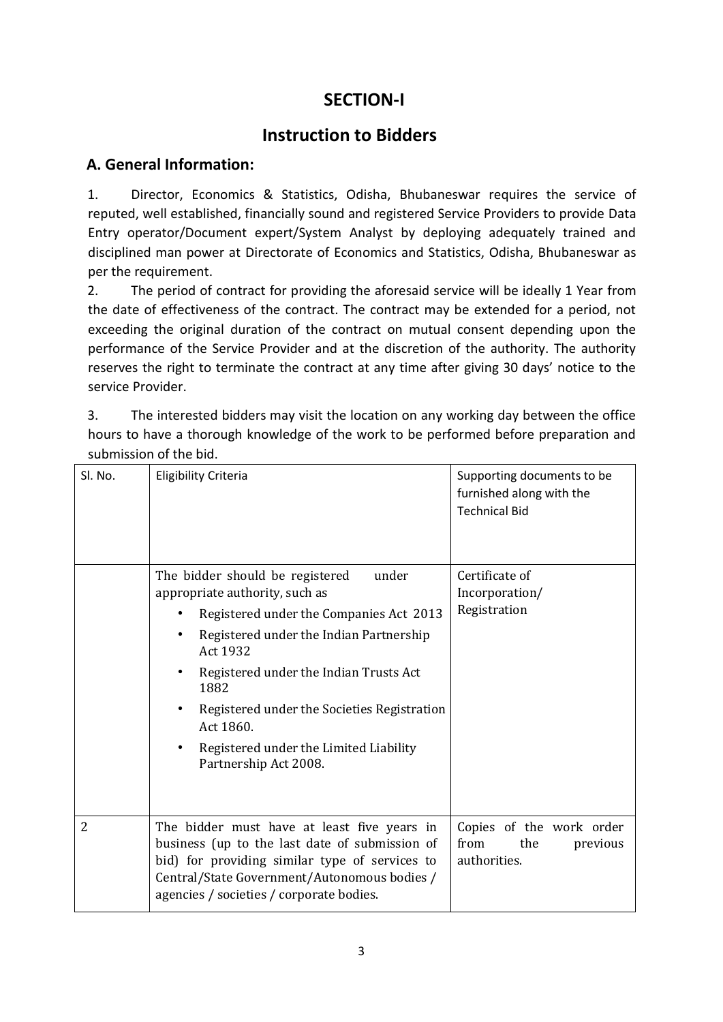## **SECTION-I**

## **Instruction to Bidders**

## **A. General Information:**

1. Director, Economics & Statistics, Odisha, Bhubaneswar requires the service of reputed, well established, financially sound and registered Service Providers to provide Data Entry operator/Document expert/System Analyst by deploying adequately trained and disciplined man power at Directorate of Economics and Statistics, Odisha, Bhubaneswar as per the requirement.

2. The period of contract for providing the aforesaid service will be ideally 1 Year from the date of effectiveness of the contract. The contract may be extended for a period, not exceeding the original duration of the contract on mutual consent depending upon the performance of the Service Provider and at the discretion of the authority. The authority reserves the right to terminate the contract at any time after giving 30 days' notice to the service Provider.

3. The interested bidders may visit the location on any working day between the office hours to have a thorough knowledge of the work to be performed before preparation and submission of the bid.

| Sl. No.        | <b>Eligibility Criteria</b>                                                                                                                                                                                                                                                                                                                                   | Supporting documents to be<br>furnished along with the<br><b>Technical Bid</b> |
|----------------|---------------------------------------------------------------------------------------------------------------------------------------------------------------------------------------------------------------------------------------------------------------------------------------------------------------------------------------------------------------|--------------------------------------------------------------------------------|
|                | The bidder should be registered<br>under<br>appropriate authority, such as<br>Registered under the Companies Act 2013<br>Registered under the Indian Partnership<br>Act 1932<br>Registered under the Indian Trusts Act<br>1882<br>Registered under the Societies Registration<br>Act 1860.<br>Registered under the Limited Liability<br>Partnership Act 2008. | Certificate of<br>Incorporation/<br>Registration                               |
| $\overline{2}$ | The bidder must have at least five years in<br>business (up to the last date of submission of<br>bid) for providing similar type of services to<br>Central/State Government/Autonomous bodies /<br>agencies / societies / corporate bodies.                                                                                                                   | Copies of the work order<br>from<br>the<br>previous<br>authorities.            |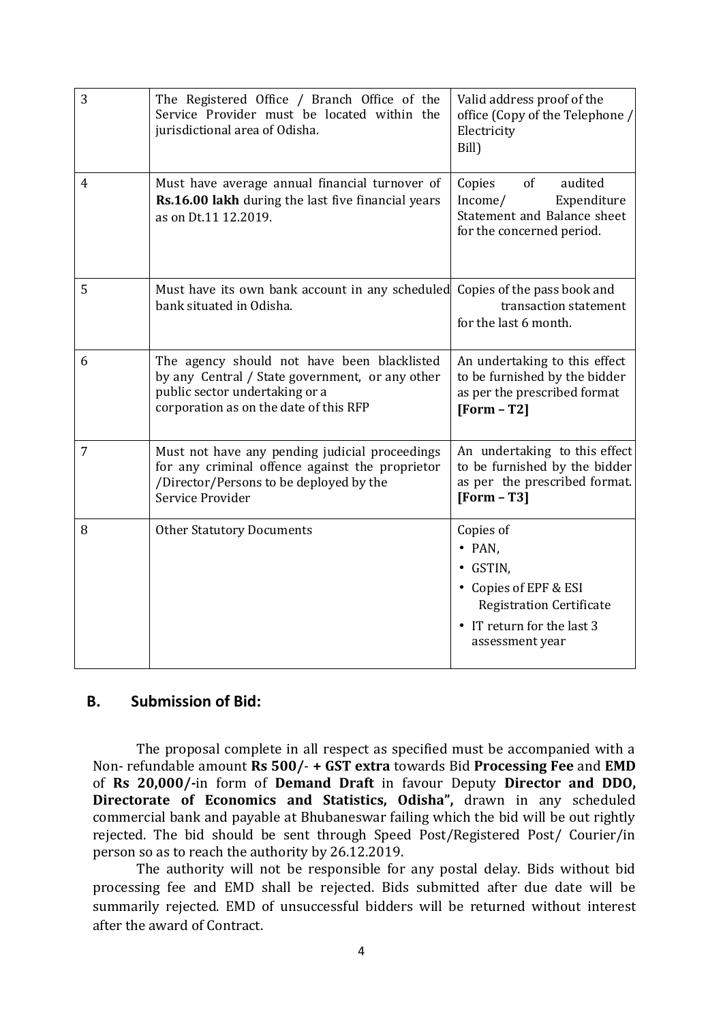| 3              | The Registered Office / Branch Office of the<br>Service Provider must be located within the<br>jurisdictional area of Odisha.                                              | Valid address proof of the<br>office (Copy of the Telephone /<br>Electricity<br>Bill)                                                                |
|----------------|----------------------------------------------------------------------------------------------------------------------------------------------------------------------------|------------------------------------------------------------------------------------------------------------------------------------------------------|
| 4              | Must have average annual financial turnover of<br>Rs.16.00 lakh during the last five financial years<br>as on Dt.11 12.2019.                                               | of<br>audited<br>Copies<br>Income/<br>Expenditure<br>Statement and Balance sheet<br>for the concerned period.                                        |
| 5              | Must have its own bank account in any scheduled Copies of the pass book and<br>bank situated in Odisha.                                                                    | transaction statement<br>for the last 6 month.                                                                                                       |
| 6              | The agency should not have been blacklisted<br>by any Central / State government, or any other<br>public sector undertaking or a<br>corporation as on the date of this RFP | An undertaking to this effect<br>to be furnished by the bidder<br>as per the prescribed format<br>$[Form - T2]$                                      |
| $\overline{7}$ | Must not have any pending judicial proceedings<br>for any criminal offence against the proprietor<br>/Director/Persons to be deployed by the<br>Service Provider           | An undertaking to this effect<br>to be furnished by the bidder<br>as per the prescribed format.<br>$[Form - T3]$                                     |
| 8              | <b>Other Statutory Documents</b>                                                                                                                                           | Copies of<br>$\bullet$ PAN,<br>• GSTIN,<br>• Copies of EPF & ESI<br><b>Registration Certificate</b><br>• IT return for the last 3<br>assessment year |

### **B. Submission of Bid:**

The proposal complete in all respect as specified must be accompanied with a Non- refundable amount **Rs 500/**- **+ GST extra** towards Bid **Processing Fee** and **EMD**  of **Rs 20,000/-**in form of **Demand Draft** in favour Deputy **Director and DDO, Directorate of Economics and Statistics, Odisha",** drawn in any scheduled commercial bank and payable at Bhubaneswar failing which the bid will be out rightly rejected. The bid should be sent through Speed Post/Registered Post/ Courier/in person so as to reach the authority by 26.12.2019.

The authority will not be responsible for any postal delay. Bids without bid processing fee and EMD shall be rejected. Bids submitted after due date will be summarily rejected. EMD of unsuccessful bidders will be returned without interest after the award of Contract.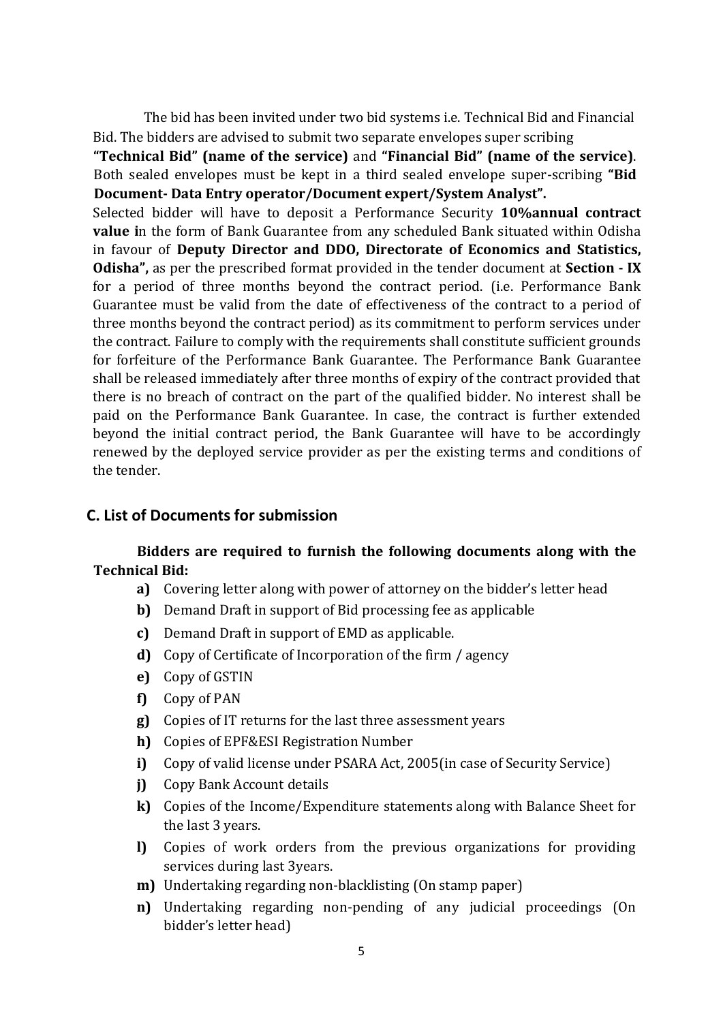The bid has been invited under two bid systems i.e. Technical Bid and Financial Bid. The bidders are advised to submit two separate envelopes super scribing

**"Technical Bid" (name of the service)** and **"Financial Bid" (name of the service)**. Both sealed envelopes must be kept in a third sealed envelope super-scribing **"Bid Document- Data Entry operator/Document expert/System Analyst".**

Selected bidder will have to deposit a Performance Security **10%annual contract value** in the form of Bank Guarantee from any scheduled Bank situated within Odisha in favour of **Deputy Director and DDO, Directorate of Economics and Statistics, Odisha",** as per the prescribed format provided in the tender document at **Section - IX** for a period of three months beyond the contract period. (i.e. Performance Bank Guarantee must be valid from the date of effectiveness of the contract to a period of three months beyond the contract period) as its commitment to perform services under the contract. Failure to comply with the requirements shall constitute sufficient grounds for forfeiture of the Performance Bank Guarantee. The Performance Bank Guarantee shall be released immediately after three months of expiry of the contract provided that there is no breach of contract on the part of the qualified bidder. No interest shall be paid on the Performance Bank Guarantee. In case, the contract is further extended beyond the initial contract period, the Bank Guarantee will have to be accordingly renewed by the deployed service provider as per the existing terms and conditions of the tender.

### **C. List of Documents for submission**

### **Bidders are required to furnish the following documents along with the Technical Bid:**

- **a)** Covering letter along with power of attorney on the bidder's letter head
- **b)** Demand Draft in support of Bid processing fee as applicable
- **c)** Demand Draft in support of EMD as applicable.
- **d)** Copy of Certificate of Incorporation of the firm / agency
- **e)** Copy of GSTIN
- **f)** Copy of PAN
- **g)** Copies of IT returns for the last three assessment years
- **h)** Copies of EPF&ESI Registration Number
- **i)** Copy of valid license under PSARA Act, 2005(in case of Security Service)
- **j)** Copy Bank Account details
- **k)** Copies of the Income/Expenditure statements along with Balance Sheet for the last 3 years.
- **l)** Copies of work orders from the previous organizations for providing services during last 3years.
- **m)** Undertaking regarding non-blacklisting (On stamp paper)
- **n)** Undertaking regarding non-pending of any judicial proceedings (On bidder's letter head)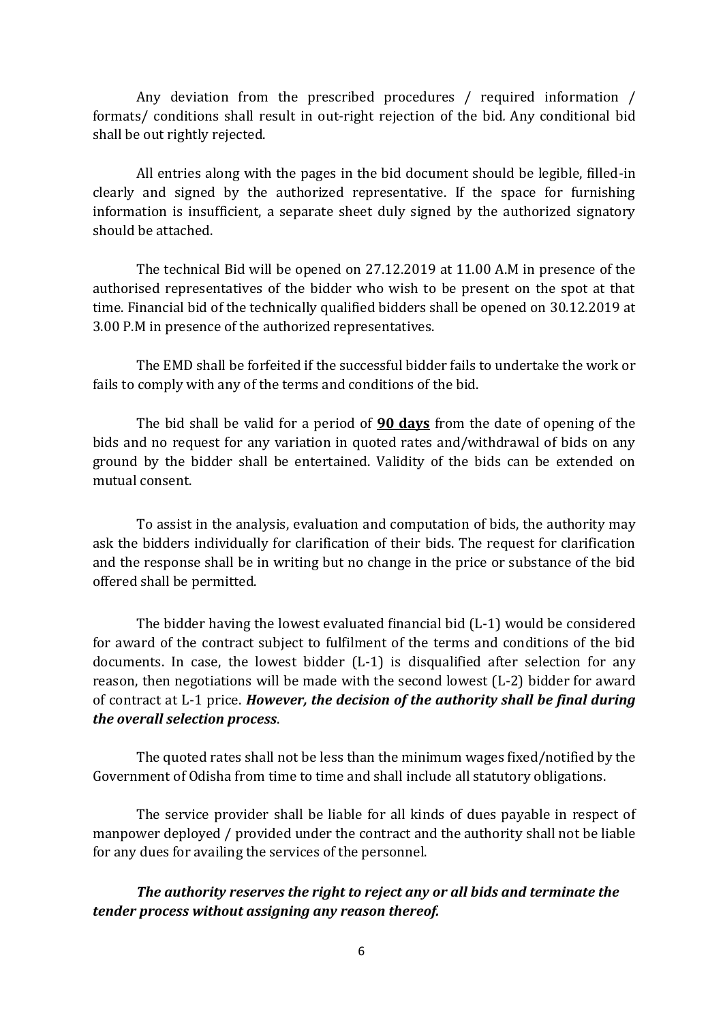Any deviation from the prescribed procedures / required information / formats/ conditions shall result in out-right rejection of the bid*.* Any conditional bid shall be out rightly rejected.

All entries along with the pages in the bid document should be legible, filled-in clearly and signed by the authorized representative. If the space for furnishing information is insufficient, a separate sheet duly signed by the authorized signatory should be attached.

The technical Bid will be opened on 27.12.2019 at 11.00 A.M in presence of the authorised representatives of the bidder who wish to be present on the spot at that time. Financial bid of the technically qualified bidders shall be opened on 30.12.2019 at 3.00 P.M in presence of the authorized representatives.

The EMD shall be forfeited if the successful bidder fails to undertake the work or fails to comply with any of the terms and conditions of the bid.

The bid shall be valid for a period of **90 days** from the date of opening of the bids and no request for any variation in quoted rates and/withdrawal of bids on any ground by the bidder shall be entertained. Validity of the bids can be extended on mutual consent.

To assist in the analysis, evaluation and computation of bids, the authority may ask the bidders individually for clarification of their bids. The request for clarification and the response shall be in writing but no change in the price or substance of the bid offered shall be permitted.

The bidder having the lowest evaluated financial bid (L-1) would be considered for award of the contract subject to fulfilment of the terms and conditions of the bid documents. In case, the lowest bidder (L-1) is disqualified after selection for any reason, then negotiations will be made with the second lowest (L-2) bidder for award of contract at L-1 price. *However, the decision of the authority shall be final during the overall selection process*.

The quoted rates shall not be less than the minimum wages fixed/notified by the Government of Odisha from time to time and shall include all statutory obligations.

The service provider shall be liable for all kinds of dues payable in respect of manpower deployed / provided under the contract and the authority shall not be liable for any dues for availing the services of the personnel.

*The authority reserves the right to reject any or all bids and terminate the tender process without assigning any reason thereof.*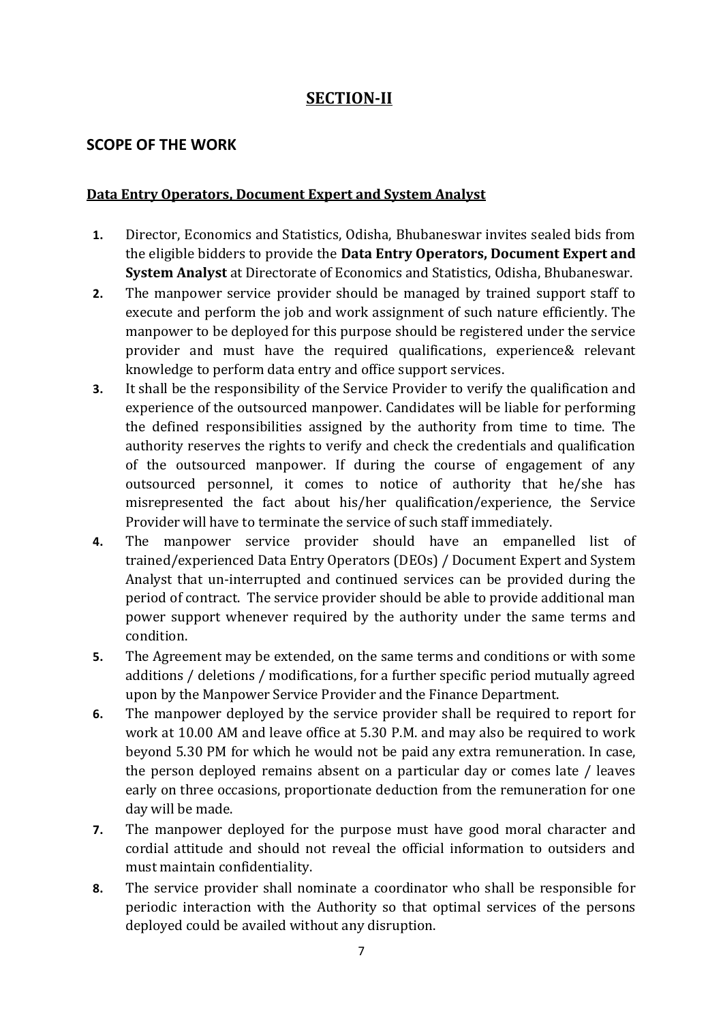## **SECTION-II**

### **SCOPE OF THE WORK**

#### **Data Entry Operators, Document Expert and System Analyst**

- **1.** Director, Economics and Statistics, Odisha, Bhubaneswar invites sealed bids from the eligible bidders to provide the **Data Entry Operators, Document Expert and System Analyst** at Directorate of Economics and Statistics, Odisha, Bhubaneswar.
- **2.** The manpower service provider should be managed by trained support staff to execute and perform the job and work assignment of such nature efficiently. The manpower to be deployed for this purpose should be registered under the service provider and must have the required qualifications, experience& relevant knowledge to perform data entry and office support services.
- **3.** It shall be the responsibility of the Service Provider to verify the qualification and experience of the outsourced manpower. Candidates will be liable for performing the defined responsibilities assigned by the authority from time to time. The authority reserves the rights to verify and check the credentials and qualification of the outsourced manpower. If during the course of engagement of any outsourced personnel, it comes to notice of authority that he/she has misrepresented the fact about his/her qualification/experience, the Service Provider will have to terminate the service of such staff immediately.
- **4.** The manpower service provider should have an empanelled list of trained/experienced Data Entry Operators (DEOs) / Document Expert and System Analyst that un-interrupted and continued services can be provided during the period of contract. The service provider should be able to provide additional man power support whenever required by the authority under the same terms and condition.
- **5.** The Agreement may be extended, on the same terms and conditions or with some additions / deletions / modifications, for a further specific period mutually agreed upon by the Manpower Service Provider and the Finance Department.
- **6.** The manpower deployed by the service provider shall be required to report for work at 10.00 AM and leave office at 5.30 P.M. and may also be required to work beyond 5.30 PM for which he would not be paid any extra remuneration. In case, the person deployed remains absent on a particular day or comes late / leaves early on three occasions, proportionate deduction from the remuneration for one day will be made.
- **7.** The manpower deployed for the purpose must have good moral character and cordial attitude and should not reveal the official information to outsiders and must maintain confidentiality.
- **8.** The service provider shall nominate a coordinator who shall be responsible for periodic interaction with the Authority so that optimal services of the persons deployed could be availed without any disruption.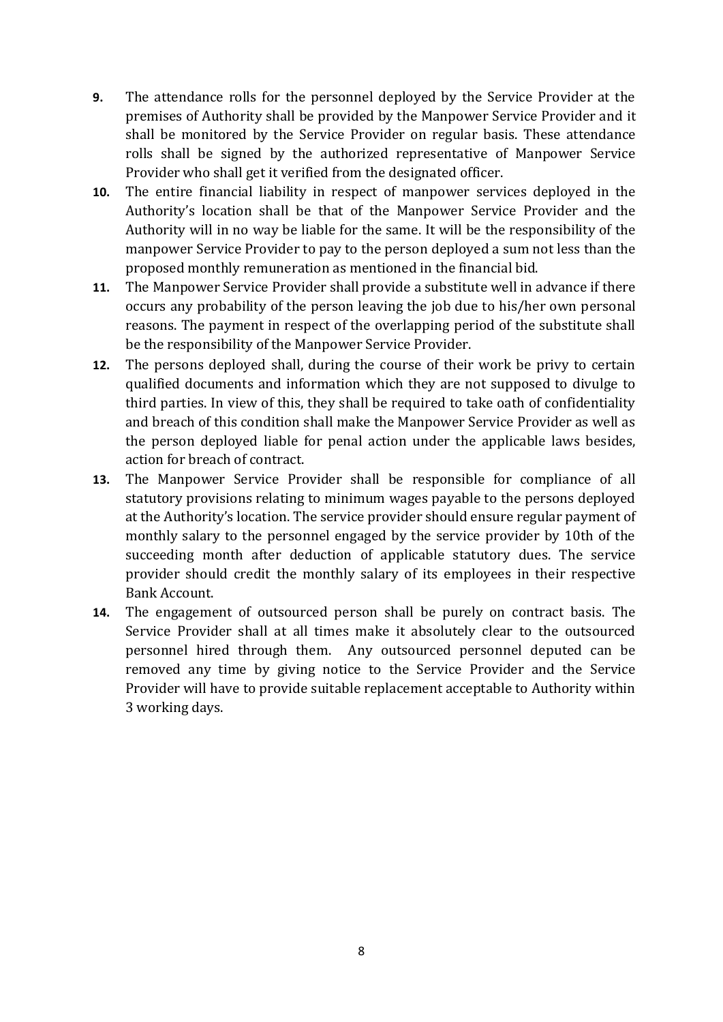- **9.** The attendance rolls for the personnel deployed by the Service Provider at the premises of Authority shall be provided by the Manpower Service Provider and it shall be monitored by the Service Provider on regular basis. These attendance rolls shall be signed by the authorized representative of Manpower Service Provider who shall get it verified from the designated officer.
- **10.** The entire financial liability in respect of manpower services deployed in the Authority's location shall be that of the Manpower Service Provider and the Authority will in no way be liable for the same. It will be the responsibility of the manpower Service Provider to pay to the person deployed a sum not less than the proposed monthly remuneration as mentioned in the financial bid.
- **11.** The Manpower Service Provider shall provide a substitute well in advance if there occurs any probability of the person leaving the job due to his/her own personal reasons. The payment in respect of the overlapping period of the substitute shall be the responsibility of the Manpower Service Provider.
- **12.** The persons deployed shall, during the course of their work be privy to certain qualified documents and information which they are not supposed to divulge to third parties. In view of this, they shall be required to take oath of confidentiality and breach of this condition shall make the Manpower Service Provider as well as the person deployed liable for penal action under the applicable laws besides, action for breach of contract.
- **13.** The Manpower Service Provider shall be responsible for compliance of all statutory provisions relating to minimum wages payable to the persons deployed at the Authority's location. The service provider should ensure regular payment of monthly salary to the personnel engaged by the service provider by 10th of the succeeding month after deduction of applicable statutory dues. The service provider should credit the monthly salary of its employees in their respective Bank Account.
- **14.** The engagement of outsourced person shall be purely on contract basis. The Service Provider shall at all times make it absolutely clear to the outsourced personnel hired through them. Any outsourced personnel deputed can be removed any time by giving notice to the Service Provider and the Service Provider will have to provide suitable replacement acceptable to Authority within 3 working days.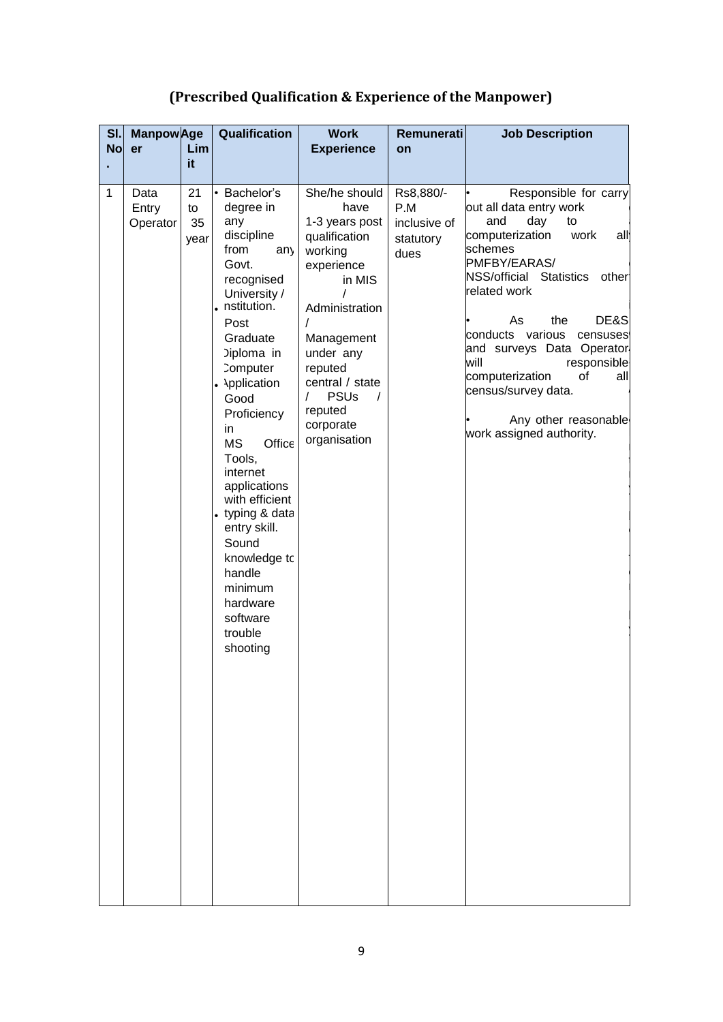## **(Prescribed Qualification & Experience of the Manpower)**

| SI.<br><b>No</b> | <b>Manpow</b> Age<br>er   | Lim<br>it.             | Qualification                                                                                                                                                                                                                                                                                                                                                                                                                                | <b>Work</b><br><b>Experience</b>                                                                                                                                                                                                                           | <b>Remunerati</b><br>on                               | <b>Job Description</b>                                                                                                                                                                                                                                                                                                                                                                                    |
|------------------|---------------------------|------------------------|----------------------------------------------------------------------------------------------------------------------------------------------------------------------------------------------------------------------------------------------------------------------------------------------------------------------------------------------------------------------------------------------------------------------------------------------|------------------------------------------------------------------------------------------------------------------------------------------------------------------------------------------------------------------------------------------------------------|-------------------------------------------------------|-----------------------------------------------------------------------------------------------------------------------------------------------------------------------------------------------------------------------------------------------------------------------------------------------------------------------------------------------------------------------------------------------------------|
| $\mathbf{1}$     | Data<br>Entry<br>Operator | 21<br>to<br>35<br>year | • Bachelor's<br>degree in<br>any<br>discipline<br>from<br>any<br>Govt.<br>recognised<br>University /<br>· nstitution.<br>Post<br>Graduate<br>Diploma in<br><b>Computer</b><br><b>Application</b><br>Good<br>Proficiency<br>in<br>Office<br><b>MS</b><br>Tools.<br>internet<br>applications<br>with efficient<br>• typing & data<br>entry skill.<br>Sound<br>knowledge to<br>handle<br>minimum<br>hardware<br>software<br>trouble<br>shooting | She/he should<br>have<br>1-3 years post<br>qualification<br>working<br>experience<br>in MIS<br>Administration<br>T<br>Management<br>under any<br>reputed<br>central / state<br><b>PSUs</b><br>$\prime$<br>$\prime$<br>reputed<br>corporate<br>organisation | Rs8,880/-<br>P.M<br>inclusive of<br>statutory<br>dues | Responsible for carry<br>out all data entry work<br>and<br>day<br>to<br>computerization<br>work<br>all<br>schemes<br>PMFBY/EARAS/<br>NSS/official Statistics<br>other<br>related work<br>the<br>DE&S<br>As<br>conducts various<br>censuses<br>and surveys Data Operator<br>will<br>responsible<br>computerization<br>οf<br>all<br>census/survey data.<br>Any other reasonable<br>work assigned authority. |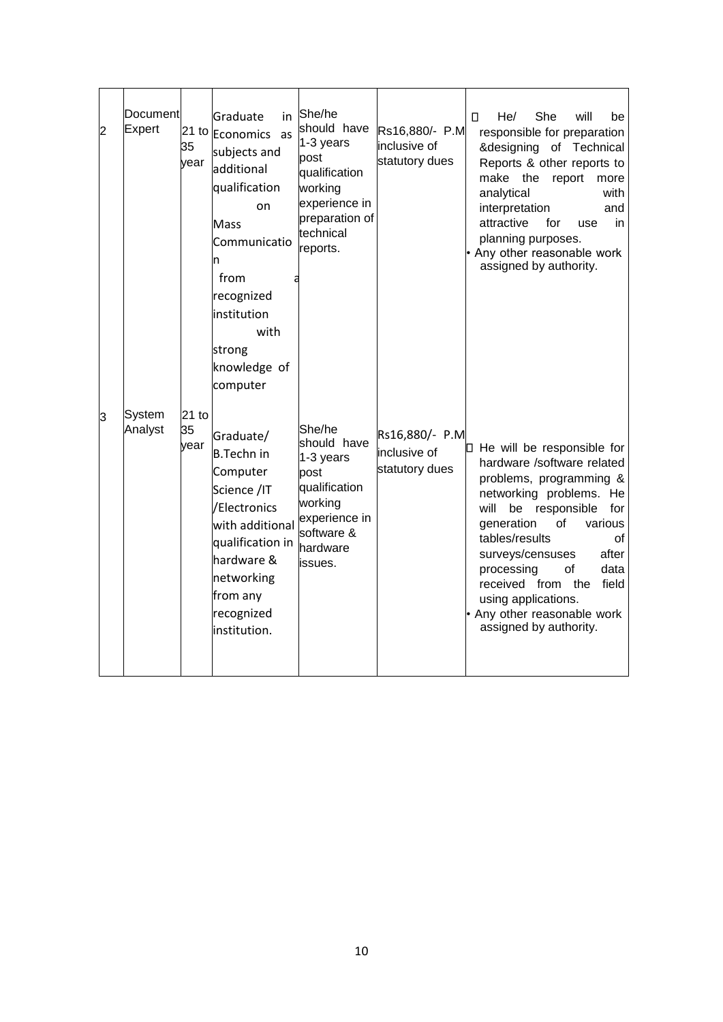| 2  | Document<br><b>Expert</b> | 35<br>vear            | Graduate<br>in<br>21 to Economics<br>as<br>subjects and<br>additional<br>qualification<br>on<br>Mass<br>Communicatio<br>n<br>from<br>recognized<br>institution<br>with<br>strong<br>knowledge of<br>computer | She/he<br>should have<br>$1-3$ years<br>post<br>qualification<br>working<br>experience in<br>preparation of<br>technical<br>reports. | Rs16,880/- P.M<br>inclusive of<br>statutory dues | She<br>0<br>He/<br>will<br>be<br>responsible for preparation<br>&designing of Technical<br>Reports & other reports to<br>make the<br>report<br>more<br>analytical<br>with<br>interpretation<br>and<br>attractive<br>for<br>in<br>use<br>planning purposes.<br>• Any other reasonable work<br>assigned by authority.                                                                     |
|----|---------------------------|-----------------------|--------------------------------------------------------------------------------------------------------------------------------------------------------------------------------------------------------------|--------------------------------------------------------------------------------------------------------------------------------------|--------------------------------------------------|-----------------------------------------------------------------------------------------------------------------------------------------------------------------------------------------------------------------------------------------------------------------------------------------------------------------------------------------------------------------------------------------|
| lЗ | System<br>Analyst         | $21$ to<br>35<br>vear | Graduate/<br><b>B.Techn in</b><br>Computer<br>Science /IT<br>/Electronics<br>with additional<br>qualification in<br>hardware &<br>networking<br>from any<br>recognized<br>institution.                       | She/he<br>should have<br>$1-3$ years<br>post<br>qualification<br>working<br>experience in<br>software &<br>hardware<br>issues.       | Rs16,880/- P.M<br>inclusive of<br>statutory dues | $\Box$ He will be responsible for<br>hardware /software related<br>problems, programming &<br>networking problems. He<br>will<br>be responsible<br>for<br>generation<br>of<br>various<br>tables/results<br>οf<br>surveys/censuses<br>after<br>processing<br>οf<br>data<br>received from<br>field<br>the<br>using applications.<br>• Any other reasonable work<br>assigned by authority. |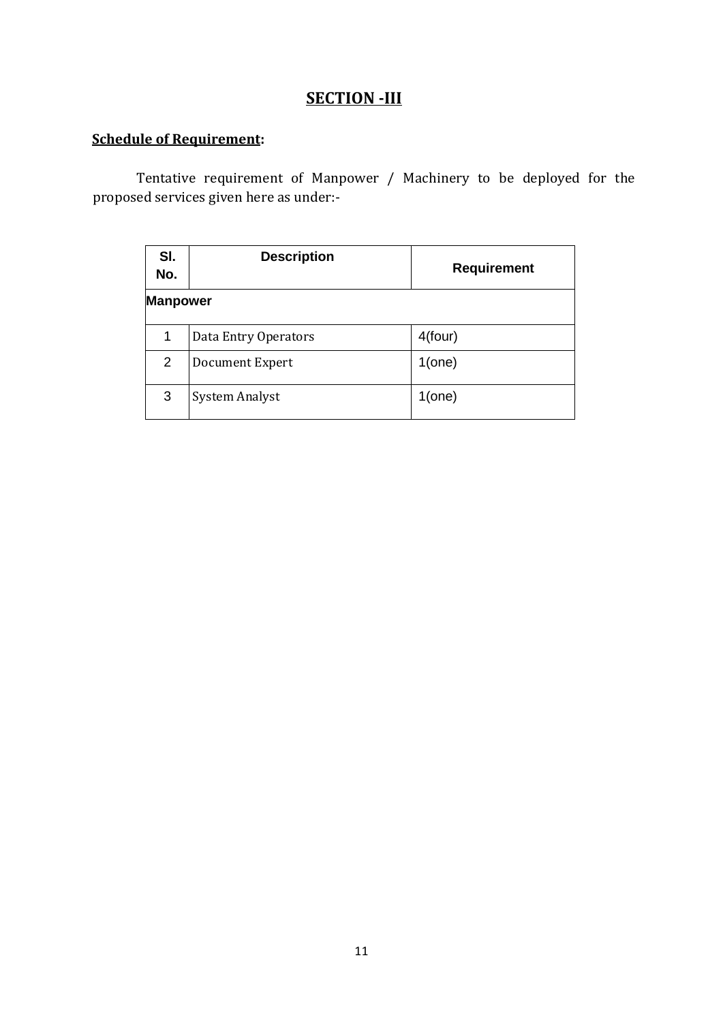## **SECTION -III**

## **Schedule of Requirement:**

Tentative requirement of Manpower / Machinery to be deployed for the proposed services given here as under:-

| SI.<br>No.      | <b>Description</b>    | <b>Requirement</b> |
|-----------------|-----------------------|--------------------|
| <b>Manpower</b> |                       |                    |
| 1               | Data Entry Operators  | 4(four)            |
| 2               | Document Expert       | $1$ (one)          |
| 3               | <b>System Analyst</b> | $1$ (one)          |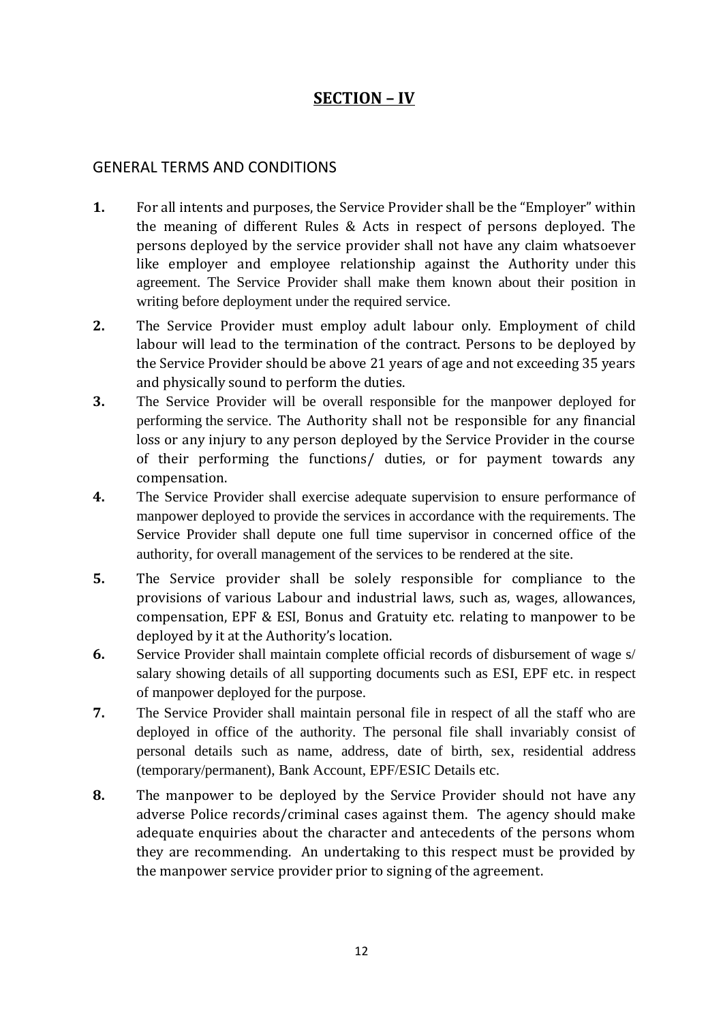## **SECTION – IV**

### GENERAL TERMS AND CONDITIONS

- **1.** For all intents and purposes, the Service Provider shall be the "Employer" within the meaning of different Rules & Acts in respect of persons deployed. The persons deployed by the service provider shall not have any claim whatsoever like employer and employee relationship against the Authority under this agreement. The Service Provider shall make them known about their position in writing before deployment under the required service.
- **2.** The Service Provider must employ adult labour only. Employment of child labour will lead to the termination of the contract. Persons to be deployed by the Service Provider should be above 21 years of age and not exceeding 35 years and physically sound to perform the duties.
- **3.** The Service Provider will be overall responsible for the manpower deployed for performing the service. The Authority shall not be responsible for any financial loss or any injury to any person deployed by the Service Provider in the course of their performing the functions/ duties, or for payment towards any compensation.
- **4.** The Service Provider shall exercise adequate supervision to ensure performance of manpower deployed to provide the services in accordance with the requirements. The Service Provider shall depute one full time supervisor in concerned office of the authority, for overall management of the services to be rendered at the site.
- **5.** The Service provider shall be solely responsible for compliance to the provisions of various Labour and industrial laws, such as, wages, allowances, compensation, EPF & ESI, Bonus and Gratuity etc. relating to manpower to be deployed by it at the Authority's location.
- **6.** Service Provider shall maintain complete official records of disbursement of wage s/ salary showing details of all supporting documents such as ESI, EPF etc. in respect of manpower deployed for the purpose.
- **7.** The Service Provider shall maintain personal file in respect of all the staff who are deployed in office of the authority. The personal file shall invariably consist of personal details such as name, address, date of birth, sex, residential address (temporary/permanent), Bank Account, EPF/ESIC Details etc.
- **8.** The manpower to be deployed by the Service Provider should not have any adverse Police records/criminal cases against them. The agency should make adequate enquiries about the character and antecedents of the persons whom they are recommending. An undertaking to this respect must be provided by the manpower service provider prior to signing of the agreement.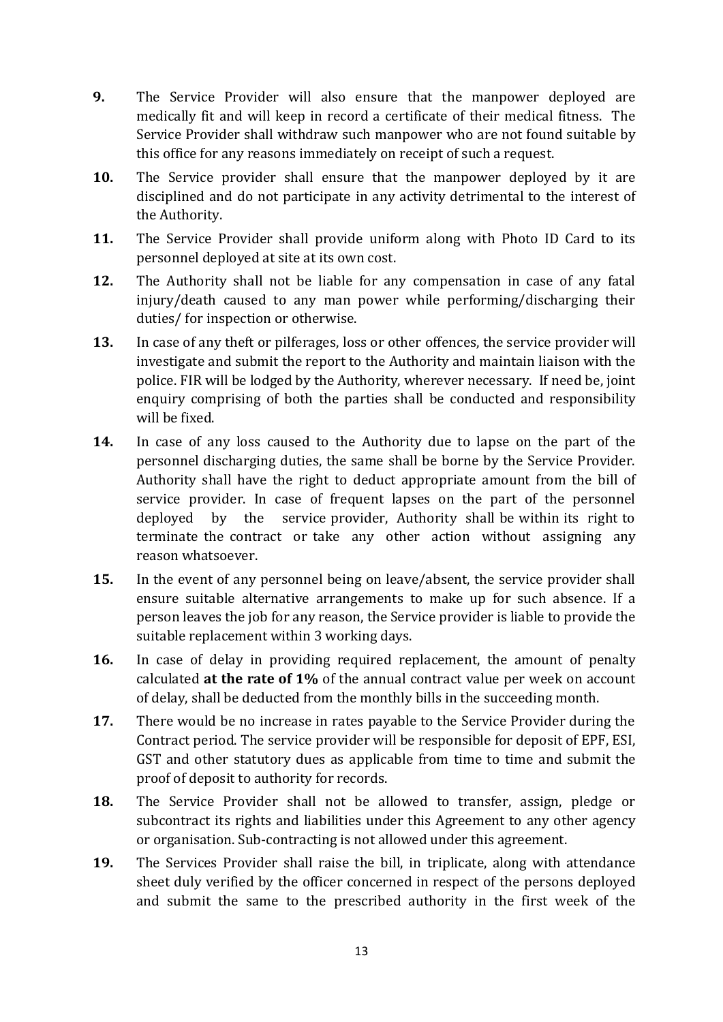- **9.** The Service Provider will also ensure that the manpower deployed are medically fit and will keep in record a certificate of their medical fitness. The Service Provider shall withdraw such manpower who are not found suitable by this office for any reasons immediately on receipt of such a request.
- **10.** The Service provider shall ensure that the manpower deployed by it are disciplined and do not participate in any activity detrimental to the interest of the Authority.
- **11.** The Service Provider shall provide uniform along with Photo ID Card to its personnel deployed at site at its own cost.
- **12.** The Authority shall not be liable for any compensation in case of any fatal injury/death caused to any man power while performing/discharging their duties/ for inspection or otherwise.
- **13.** In case of any theft or pilferages, loss or other offences, the service provider will investigate and submit the report to the Authority and maintain liaison with the police. FIR will be lodged by the Authority, wherever necessary. If need be, joint enquiry comprising of both the parties shall be conducted and responsibility will be fixed.
- **14.** In case of any loss caused to the Authority due to lapse on the part of the personnel discharging duties, the same shall be borne by the Service Provider. Authority shall have the right to deduct appropriate amount from the bill of service provider. In case of frequent lapses on the part of the personnel deployed by the service provider, Authority shall be within its right to terminate the contract or take any other action without assigning any reason whatsoever.
- **15.** In the event of any personnel being on leave/absent, the service provider shall ensure suitable alternative arrangements to make up for such absence. If a person leaves the job for any reason, the Service provider is liable to provide the suitable replacement within 3 working days.
- **16.** In case of delay in providing required replacement, the amount of penalty calculated **at the rate of 1%** of the annual contract value per week on account of delay, shall be deducted from the monthly bills in the succeeding month.
- **17.** There would be no increase in rates payable to the Service Provider during the Contract period. The service provider will be responsible for deposit of EPF, ESI, GST and other statutory dues as applicable from time to time and submit the proof of deposit to authority for records.
- **18.** The Service Provider shall not be allowed to transfer, assign, pledge or subcontract its rights and liabilities under this Agreement to any other agency or organisation. Sub-contracting is not allowed under this agreement.
- **19.** The Services Provider shall raise the bill, in triplicate, along with attendance sheet duly verified by the officer concerned in respect of the persons deployed and submit the same to the prescribed authority in the first week of the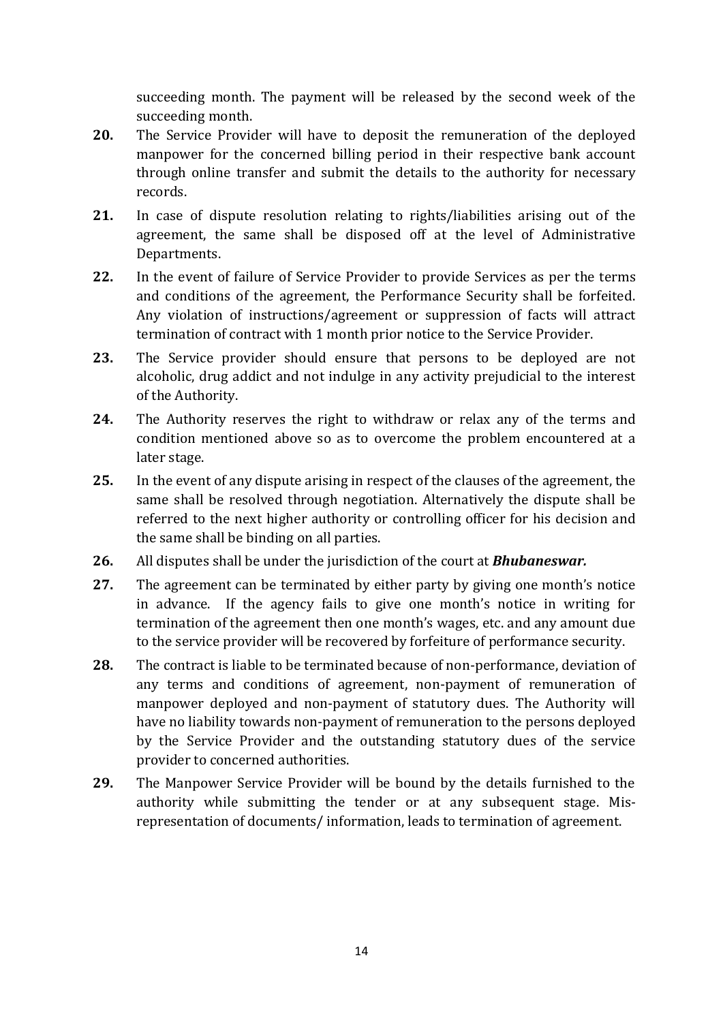succeeding month. The payment will be released by the second week of the succeeding month.

- **20.** The Service Provider will have to deposit the remuneration of the deployed manpower for the concerned billing period in their respective bank account through online transfer and submit the details to the authority for necessary records.
- **21.** In case of dispute resolution relating to rights/liabilities arising out of the agreement, the same shall be disposed off at the level of Administrative Departments.
- **22.** In the event of failure of Service Provider to provide Services as per the terms and conditions of the agreement, the Performance Security shall be forfeited. Any violation of instructions/agreement or suppression of facts will attract termination of contract with 1 month prior notice to the Service Provider.
- **23.** The Service provider should ensure that persons to be deployed are not alcoholic, drug addict and not indulge in any activity prejudicial to the interest of the Authority.
- **24.** The Authority reserves the right to withdraw or relax any of the terms and condition mentioned above so as to overcome the problem encountered at a later stage.
- **25.** In the event of any dispute arising in respect of the clauses of the agreement, the same shall be resolved through negotiation. Alternatively the dispute shall be referred to the next higher authority or controlling officer for his decision and the same shall be binding on all parties.
- **26.** All disputes shall be under the jurisdiction of the court at *Bhubaneswar.*
- **27.** The agreement can be terminated by either party by giving one month's notice in advance. If the agency fails to give one month's notice in writing for termination of the agreement then one month's wages, etc. and any amount due to the service provider will be recovered by forfeiture of performance security.
- **28.** The contract is liable to be terminated because of non-performance, deviation of any terms and conditions of agreement, non-payment of remuneration of manpower deployed and non-payment of statutory dues. The Authority will have no liability towards non-payment of remuneration to the persons deployed by the Service Provider and the outstanding statutory dues of the service provider to concerned authorities.
- **29.** The Manpower Service Provider will be bound by the details furnished to the authority while submitting the tender or at any subsequent stage. Misrepresentation of documents/ information, leads to termination of agreement.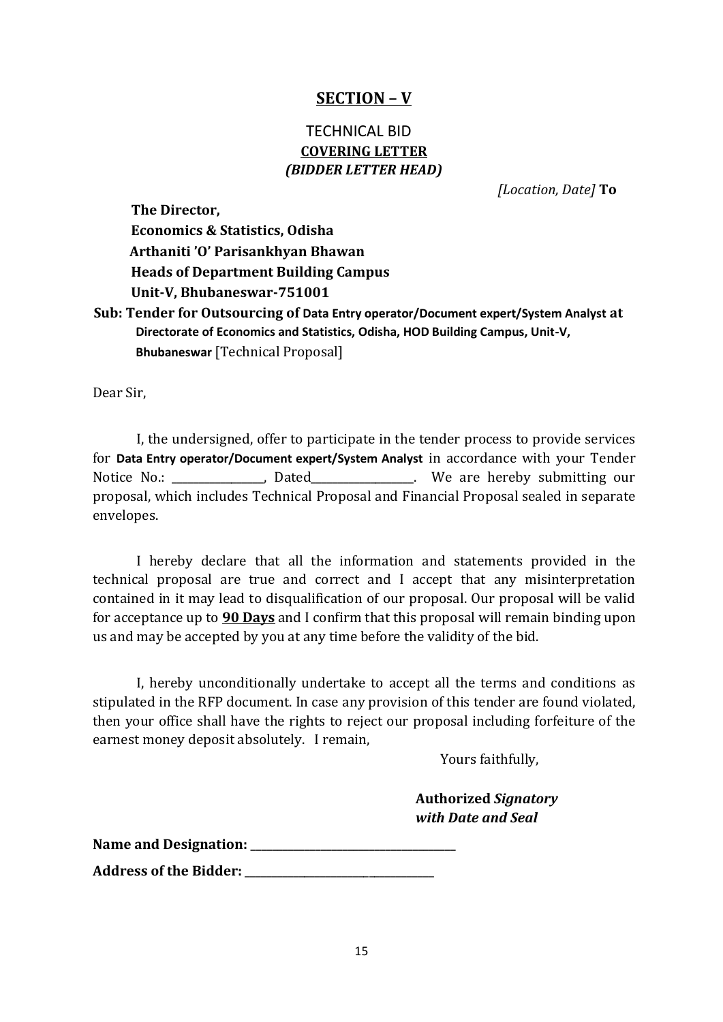## **SECTION – V**

## TECHNICAL BID **COVERING LETTER** *(BIDDER LETTER HEAD)*

*[Location, Date]* **To** 

**The Director, Economics & Statistics, Odisha Arthaniti 'O' Parisankhyan Bhawan Heads of Department Building Campus Unit-V, Bhubaneswar-751001 Sub: Tender for Outsourcing of Data Entry operator/Document expert/System Analyst at Directorate of Economics and Statistics, Odisha, HOD Building Campus, Unit-V,** 

**Bhubaneswar** [Technical Proposal]

Dear Sir,

I, the undersigned, offer to participate in the tender process to provide services for **Data Entry operator/Document expert/System Analyst** in accordance with your Tender Notice No.: \_\_\_\_\_\_\_\_\_\_\_\_\_\_\_, Dated\_\_\_\_\_\_\_\_\_\_\_\_\_\_\_\_. We are hereby submitting our proposal, which includes Technical Proposal and Financial Proposal sealed in separate envelopes.

I hereby declare that all the information and statements provided in the technical proposal are true and correct and I accept that any misinterpretation contained in it may lead to disqualification of our proposal. Our proposal will be valid for acceptance up to **90 Days** and I confirm that this proposal will remain binding upon us and may be accepted by you at any time before the validity of the bid.

I, hereby unconditionally undertake to accept all the terms and conditions as stipulated in the RFP document. In case any provision of this tender are found violated, then your office shall have the rights to reject our proposal including forfeiture of the earnest money deposit absolutely. I remain,

Yours faithfully,

**Authorized** *Signatory with Date and Seal*

Name and Designation: <u>\_\_\_</u>

**Address of the Bidder:** \_\_\_\_\_\_\_\_\_\_\_\_\_\_\_\_\_\_\_\_\_\_\_\_\_\_\_\_\_\_\_\_\_\_\_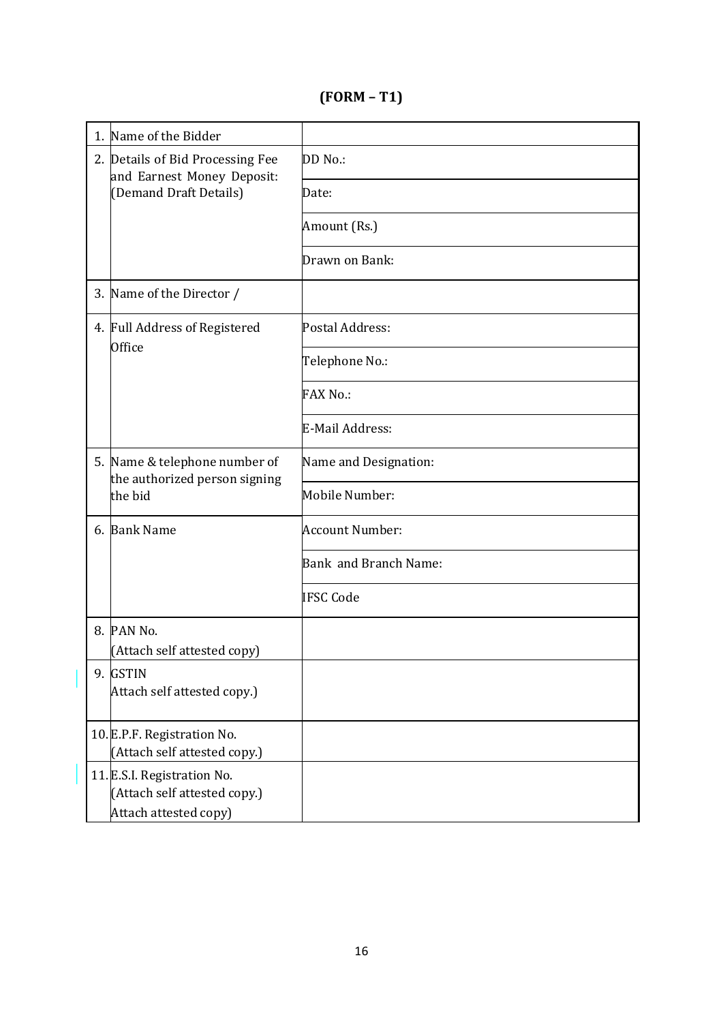**(FORM – T1)** 

| 1. | Name of the Bidder                                                                   |                        |
|----|--------------------------------------------------------------------------------------|------------------------|
|    | 2. Details of Bid Processing Fee<br>and Earnest Money Deposit:                       | DD No.:                |
|    | (Demand Draft Details)                                                               | Date:                  |
|    |                                                                                      | Amount (Rs.)           |
|    |                                                                                      | Drawn on Bank:         |
|    | 3. Name of the Director /                                                            |                        |
|    | 4. Full Address of Registered<br>Office                                              | Postal Address:        |
|    |                                                                                      | Telephone No.:         |
|    |                                                                                      | <b>FAX No.:</b>        |
|    |                                                                                      | E-Mail Address:        |
|    | 5. Name & telephone number of<br>the authorized person signing                       | Name and Designation:  |
|    | the bid                                                                              | Mobile Number:         |
|    | 6. Bank Name                                                                         | <b>Account Number:</b> |
|    |                                                                                      | Bank and Branch Name:  |
|    |                                                                                      | <b>IFSC Code</b>       |
|    | 8. PAN No.<br>(Attach self attested copy)                                            |                        |
|    | 9. GSTIN                                                                             |                        |
|    | Attach self attested copy.)                                                          |                        |
|    | 10. E.P.F. Registration No.<br>(Attach self attested copy.)                          |                        |
|    | 11. E.S.I. Registration No.<br>(Attach self attested copy.)<br>Attach attested copy) |                        |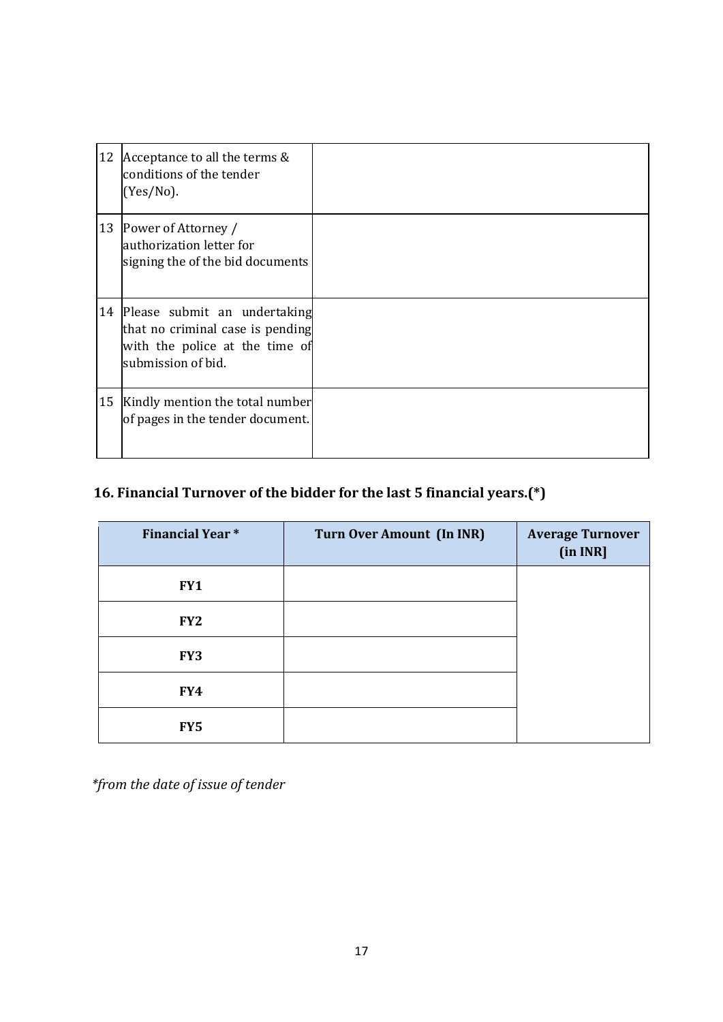| 12 | Acceptance to all the terms &<br>conditions of the tender<br>$(Yes/No)$ .                                                   |  |
|----|-----------------------------------------------------------------------------------------------------------------------------|--|
| 13 | Power of Attorney /<br>authorization letter for<br>signing the of the bid documents                                         |  |
|    | 14 Please submit an undertaking<br>that no criminal case is pending<br>with the police at the time of<br>submission of bid. |  |
| 15 | Kindly mention the total number<br>of pages in the tender document.                                                         |  |

## **16. Financial Turnover of the bidder for the last 5 financial years.(\*)**

| <b>Financial Year*</b> | <b>Turn Over Amount (In INR)</b> | <b>Average Turnover</b><br>(in INR] |
|------------------------|----------------------------------|-------------------------------------|
| FY1                    |                                  |                                     |
| FY <sub>2</sub>        |                                  |                                     |
| FY3                    |                                  |                                     |
| FY4                    |                                  |                                     |
| FY <sub>5</sub>        |                                  |                                     |

*\*from the date of issue of tender*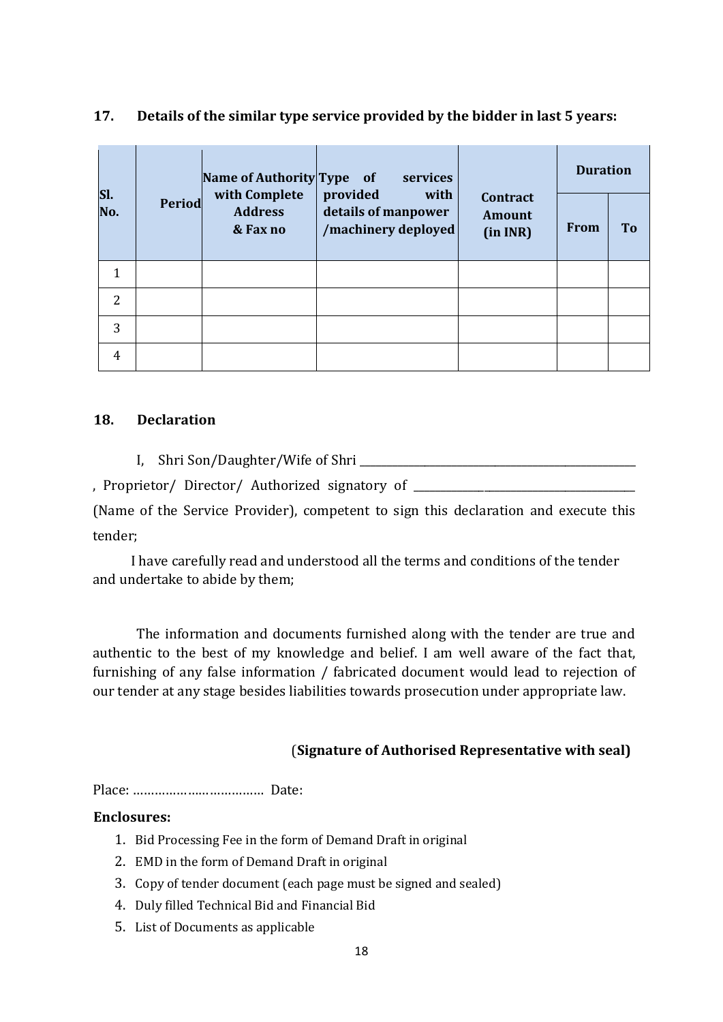|            |        | Name of Authority Type of                   | services                                                       | <b>Contract</b><br>Amount<br>(in INR) | <b>Duration</b> |    |
|------------|--------|---------------------------------------------|----------------------------------------------------------------|---------------------------------------|-----------------|----|
| SI.<br>No. | Period | with Complete<br><b>Address</b><br>& Fax no | provided<br>with<br>details of manpower<br>/machinery deployed |                                       | <b>From</b>     | To |
|            |        |                                             |                                                                |                                       |                 |    |
| 2          |        |                                             |                                                                |                                       |                 |    |
| 3          |        |                                             |                                                                |                                       |                 |    |
| 4          |        |                                             |                                                                |                                       |                 |    |

### **17. Details of the similar type service provided by the bidder in last 5 years:**

#### **18. Declaration**

I, Shri Son/Daughter/Wife of Shri \_\_\_\_\_\_\_\_\_\_\_\_\_\_\_\_\_\_\_\_\_\_\_\_\_\_\_\_\_\_\_\_\_\_\_\_\_\_\_\_\_\_\_\_\_\_\_\_\_\_\_

, Proprietor/ Director/ Authorized signatory of \_\_\_\_\_\_\_\_\_\_\_\_\_\_\_\_\_\_\_\_\_\_\_\_\_\_\_\_\_\_\_\_

(Name of the Service Provider), competent to sign this declaration and execute this tender;

I have carefully read and understood all the terms and conditions of the tender and undertake to abide by them;

The information and documents furnished along with the tender are true and authentic to the best of my knowledge and belief. I am well aware of the fact that, furnishing of any false information / fabricated document would lead to rejection of our tender at any stage besides liabilities towards prosecution under appropriate law.

### (**Signature of Authorised Representative with seal)**

Place: ……………………………… Date:

### **Enclosures:**

- 1. Bid Processing Fee in the form of Demand Draft in original
- 2. EMD in the form of Demand Draft in original
- 3. Copy of tender document (each page must be signed and sealed)
- 4. Duly filled Technical Bid and Financial Bid
- 5. List of Documents as applicable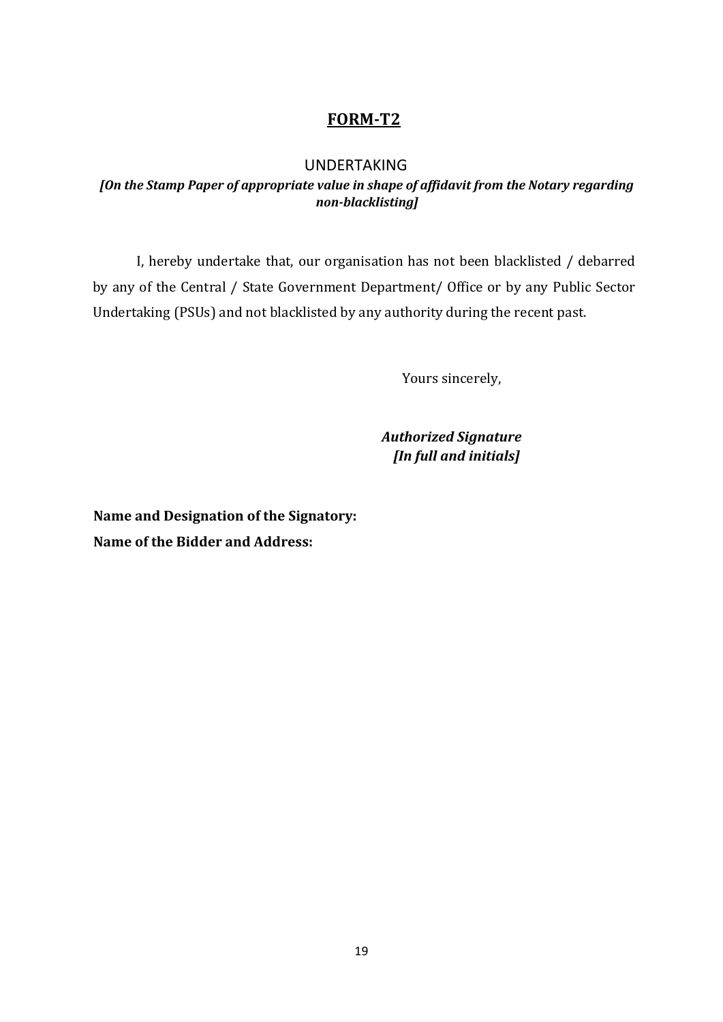## **FORM-T2**

#### UNDERTAKING

#### *[On the Stamp Paper of appropriate value in shape of affidavit from the Notary regarding non-blacklisting]*

I, hereby undertake that, our organisation has not been blacklisted / debarred by any of the Central / State Government Department/ Office or by any Public Sector Undertaking (PSUs) and not blacklisted by any authority during the recent past.

Yours sincerely,

*Authorized Signature [In full and initials]* 

**Name and Designation of the Signatory: Name of the Bidder and Address:**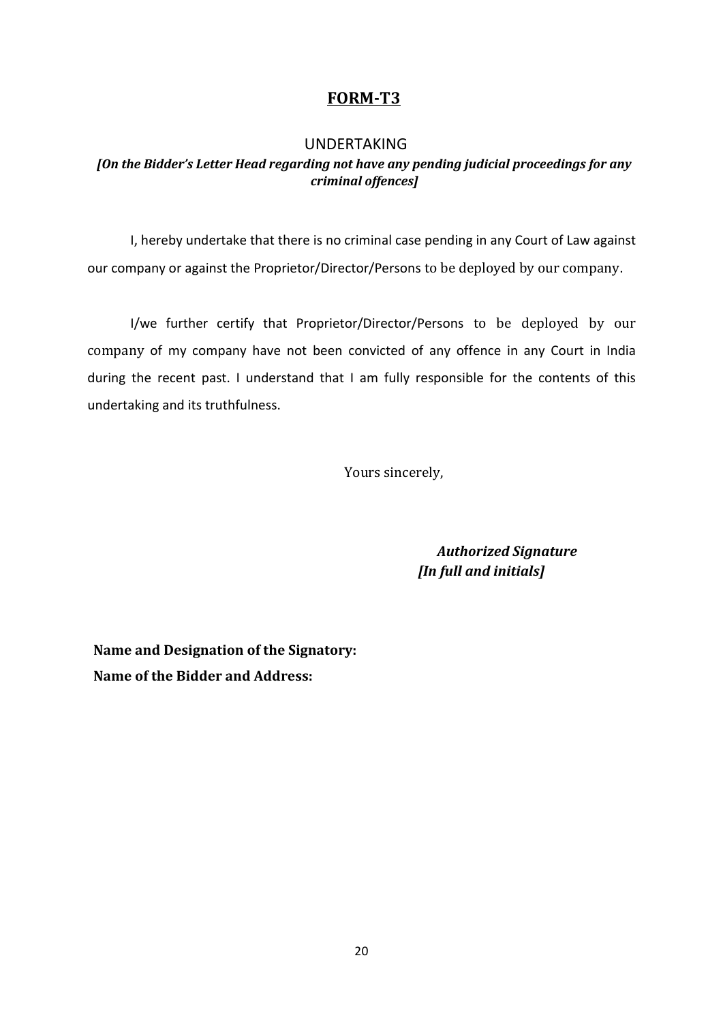## **FORM-T3**

#### UNDERTAKING

### *[On the Bidder's Letter Head regarding not have any pending judicial proceedings for any criminal offences]*

I, hereby undertake that there is no criminal case pending in any Court of Law against our company or against the Proprietor/Director/Persons to be deployed by our company.

I/we further certify that Proprietor/Director/Persons to be deployed by our company of my company have not been convicted of any offence in any Court in India during the recent past. I understand that I am fully responsible for the contents of this undertaking and its truthfulness.

Yours sincerely,

*Authorized Signature [In full and initials]*

**Name and Designation of the Signatory: Name of the Bidder and Address:**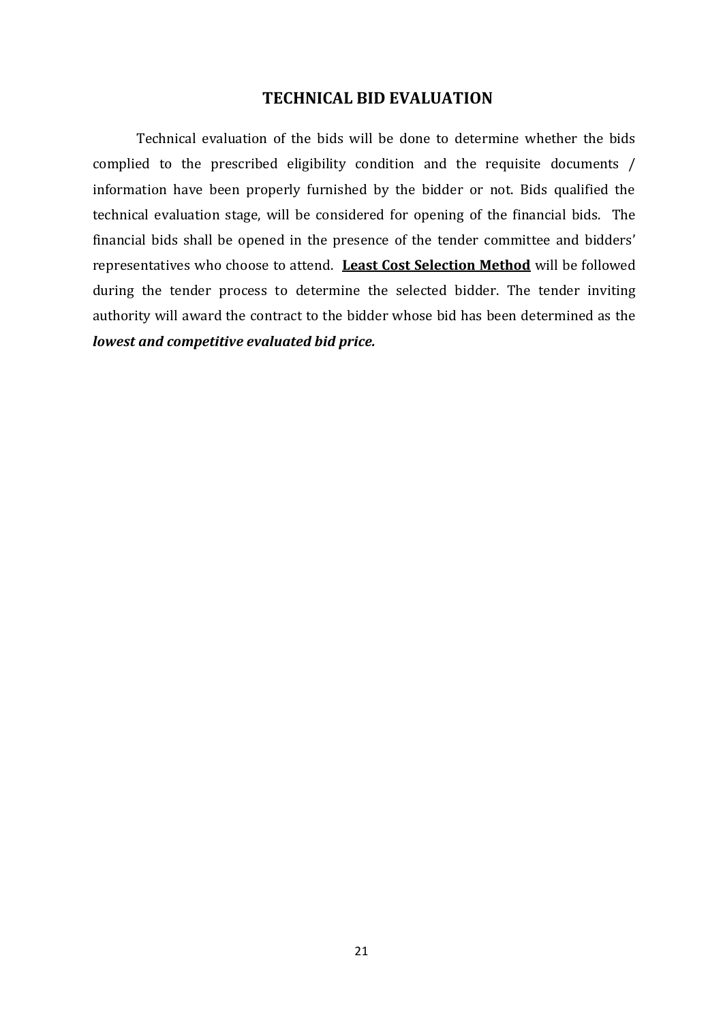#### **TECHNICAL BID EVALUATION**

Technical evaluation of the bids will be done to determine whether the bids complied to the prescribed eligibility condition and the requisite documents / information have been properly furnished by the bidder or not. Bids qualified the technical evaluation stage, will be considered for opening of the financial bids. The financial bids shall be opened in the presence of the tender committee and bidders' representatives who choose to attend. **Least Cost Selection Method** will be followed during the tender process to determine the selected bidder. The tender inviting authority will award the contract to the bidder whose bid has been determined as the *lowest and competitive evaluated bid price.*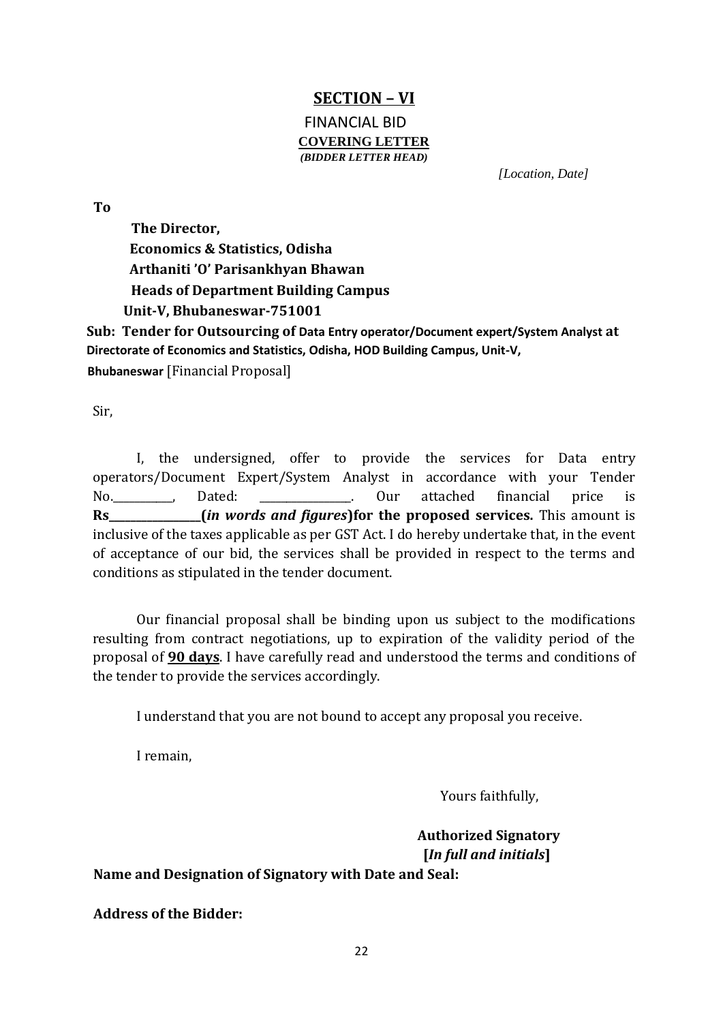## **SECTION – VI**

#### FINANCIAL BID **COVERING LETTER** *(BIDDER LETTER HEAD)*

*[Location, Date]* 

**To** 

**The Director, Economics & Statistics, Odisha Arthaniti 'O' Parisankhyan Bhawan Heads of Department Building Campus Unit-V, Bhubaneswar-751001** 

**Sub: Tender for Outsourcing of Data Entry operator/Document expert/System Analyst at Directorate of Economics and Statistics, Odisha, HOD Building Campus, Unit-V,** 

**Bhubaneswar** [Financial Proposal]

Sir,

I, the undersigned, offer to provide the services for Data entry operators/Document Expert/System Analyst in accordance with your Tender No.\_\_\_\_\_\_\_\_\_\_\_, Dated: \_\_\_\_\_\_\_\_\_\_\_\_\_\_\_\_\_. Our attached financial price is **Rs\_\_\_\_\_\_\_\_\_\_\_\_\_\_\_\_\_(***in words and figures***)for the proposed services.** This amount is inclusive of the taxes applicable as per GST Act. I do hereby undertake that, in the event of acceptance of our bid, the services shall be provided in respect to the terms and conditions as stipulated in the tender document.

Our financial proposal shall be binding upon us subject to the modifications resulting from contract negotiations, up to expiration of the validity period of the proposal of **90 days**. I have carefully read and understood the terms and conditions of the tender to provide the services accordingly.

I understand that you are not bound to accept any proposal you receive.

I remain,

Yours faithfully,

 **Authorized Signatory [***In full and initials***]** 

**Name and Designation of Signatory with Date and Seal:**

**Address of the Bidder:**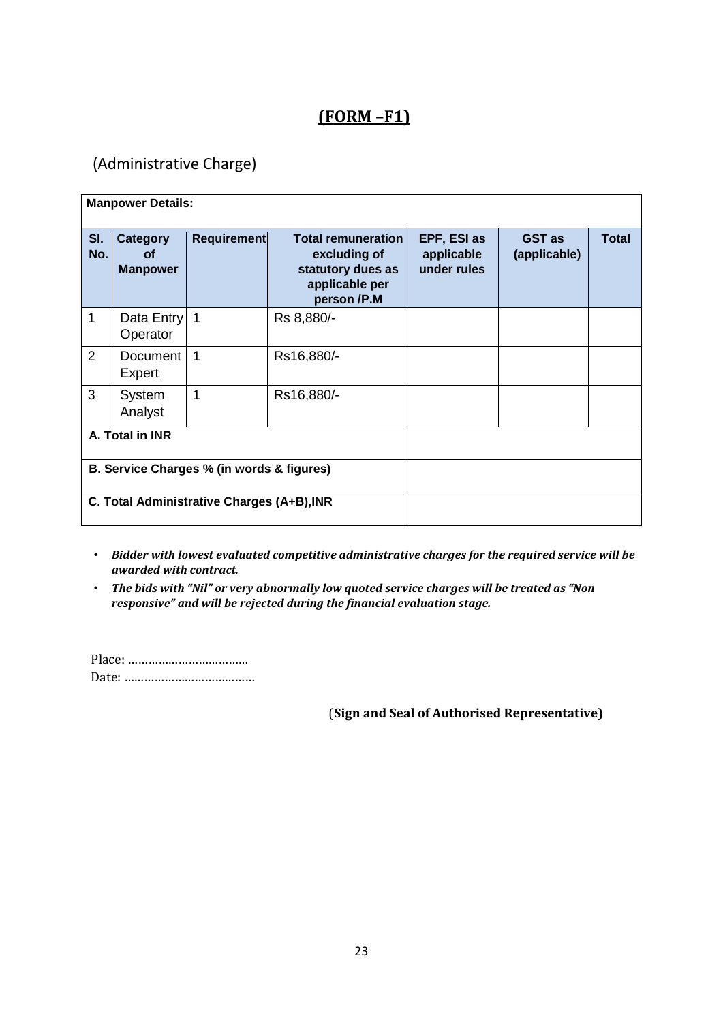## **(FORM –F1)**

## (Administrative Charge)

|                                            | <b>Manpower Details:</b>                 |                    |                                                                                                 |                                          |                               |              |
|--------------------------------------------|------------------------------------------|--------------------|-------------------------------------------------------------------------------------------------|------------------------------------------|-------------------------------|--------------|
| SI.<br>No.                                 | <b>Category</b><br>Οf<br><b>Manpower</b> | <b>Requirement</b> | <b>Total remuneration</b><br>excluding of<br>statutory dues as<br>applicable per<br>person /P.M | EPF, ESI as<br>applicable<br>under rules | <b>GST</b> as<br>(applicable) | <b>Total</b> |
| 1                                          | Data Entry 1<br>Operator                 |                    | Rs 8,880/-                                                                                      |                                          |                               |              |
| 2                                          | Document<br>Expert                       | 1                  | Rs16,880/-                                                                                      |                                          |                               |              |
| 3                                          | System<br>Analyst                        | 1                  | Rs16,880/-                                                                                      |                                          |                               |              |
| A. Total in INR                            |                                          |                    |                                                                                                 |                                          |                               |              |
| B. Service Charges % (in words & figures)  |                                          |                    |                                                                                                 |                                          |                               |              |
| C. Total Administrative Charges (A+B), INR |                                          |                    |                                                                                                 |                                          |                               |              |

- *Bidder with lowest evaluated competitive administrative charges for the required service will be awarded with contract.*
- *The bids with "Nil" or very abnormally low quoted service charges will be treated as "Non responsive" and will be rejected during the financial evaluation stage.*

Place: ……………………………… Date: …………………………………

(**Sign and Seal of Authorised Representative)**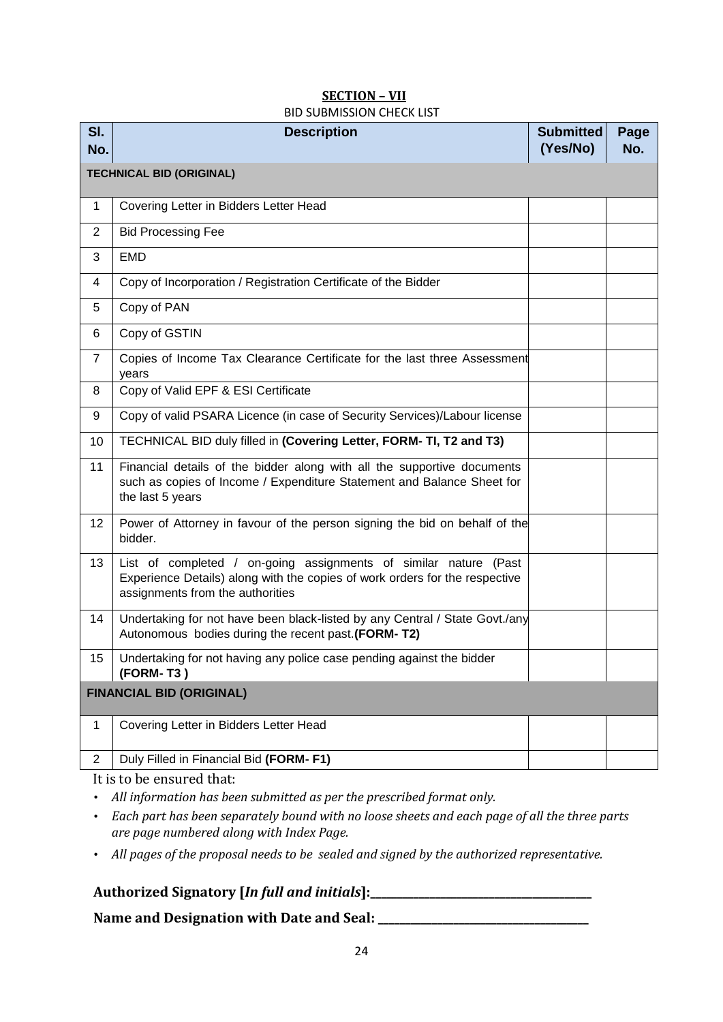#### **SECTION – VII** BID SUBMISSION CHECK LIST

| SI.<br>No.                      | <b>Description</b>                                                                                                                                                                  | <b>Submitted</b><br>(Yes/No) | Page<br>No. |
|---------------------------------|-------------------------------------------------------------------------------------------------------------------------------------------------------------------------------------|------------------------------|-------------|
| <b>TECHNICAL BID (ORIGINAL)</b> |                                                                                                                                                                                     |                              |             |
| $\mathbf 1$                     | Covering Letter in Bidders Letter Head                                                                                                                                              |                              |             |
| $\overline{2}$                  | <b>Bid Processing Fee</b>                                                                                                                                                           |                              |             |
| 3                               | <b>EMD</b>                                                                                                                                                                          |                              |             |
| 4                               | Copy of Incorporation / Registration Certificate of the Bidder                                                                                                                      |                              |             |
| 5                               | Copy of PAN                                                                                                                                                                         |                              |             |
| 6                               | Copy of GSTIN                                                                                                                                                                       |                              |             |
| 7                               | Copies of Income Tax Clearance Certificate for the last three Assessment<br>years                                                                                                   |                              |             |
| 8                               | Copy of Valid EPF & ESI Certificate                                                                                                                                                 |                              |             |
| 9                               | Copy of valid PSARA Licence (in case of Security Services)/Labour license                                                                                                           |                              |             |
| 10                              | TECHNICAL BID duly filled in (Covering Letter, FORM- TI, T2 and T3)                                                                                                                 |                              |             |
| 11                              | Financial details of the bidder along with all the supportive documents<br>such as copies of Income / Expenditure Statement and Balance Sheet for<br>the last 5 years               |                              |             |
| 12                              | Power of Attorney in favour of the person signing the bid on behalf of the<br>bidder.                                                                                               |                              |             |
| 13                              | List of completed / on-going assignments of similar nature (Past<br>Experience Details) along with the copies of work orders for the respective<br>assignments from the authorities |                              |             |
| 14                              | Undertaking for not have been black-listed by any Central / State Govt./any<br>Autonomous bodies during the recent past.(FORM-T2)                                                   |                              |             |
| 15                              | Undertaking for not having any police case pending against the bidder<br>(FORM-T3)                                                                                                  |                              |             |
| <b>FINANCIAL BID (ORIGINAL)</b> |                                                                                                                                                                                     |                              |             |
| 1                               | Covering Letter in Bidders Letter Head                                                                                                                                              |                              |             |
| $\overline{2}$                  | Duly Filled in Financial Bid (FORM-F1)                                                                                                                                              |                              |             |

It is to be ensured that:

- *All information has been submitted as per the prescribed format only.*
- *Each part has been separately bound with no loose sheets and each page of all the three parts are page numbered along with Index Page.*
- *All pages of the proposal needs to be sealed and signed by the authorized representative.*

## **Authorized Signatory [***In full and initials***]:\_\_\_\_\_\_\_\_\_\_\_\_\_\_\_\_\_\_\_\_\_\_\_\_\_\_\_\_\_\_\_\_\_\_\_\_\_\_\_\_\_**

**Name and Designation with Date and Seal: \_\_\_\_\_\_\_\_\_\_\_\_\_\_\_\_\_\_\_\_\_\_\_\_\_\_\_\_\_\_\_\_\_\_\_\_\_\_\_**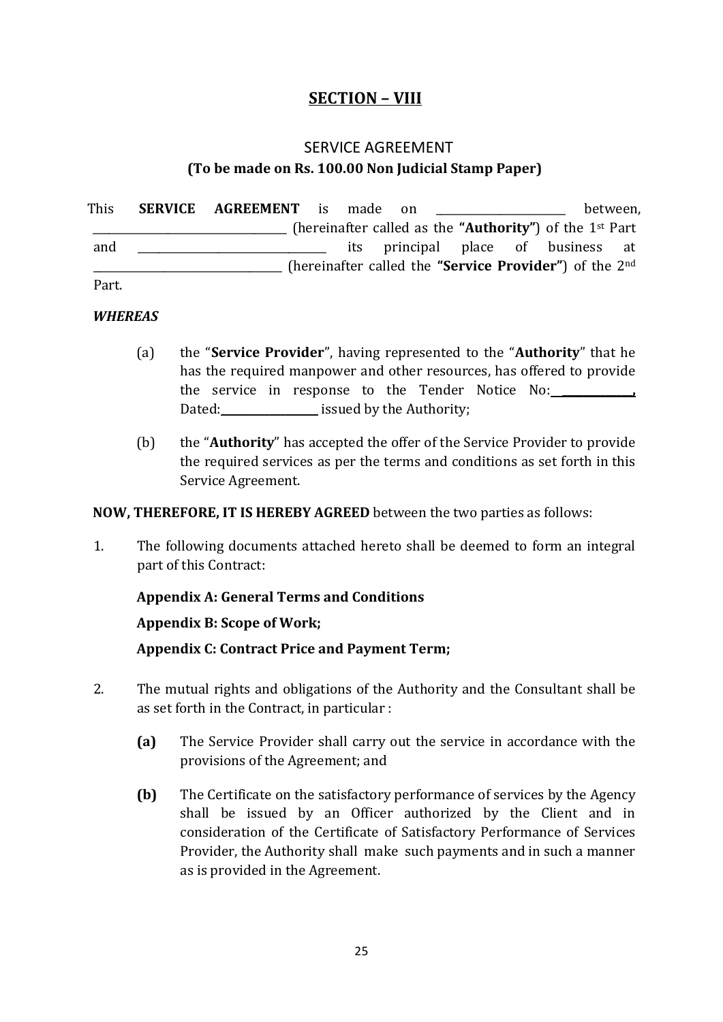## **SECTION – VIII**

## SERVICE AGREEMENT **(To be made on Rs. 100.00 Non Judicial Stamp Paper)**

This **SERVICE AGREEMENT** is made on the set of the between, \_\_\_\_\_\_\_\_\_\_\_\_\_\_\_\_\_\_\_\_\_\_\_\_\_\_\_\_\_\_\_\_\_\_\_\_ (hereinafter called as the **"Authority"**) of the 1st Part and \_\_\_\_\_\_\_\_\_\_\_\_\_\_\_\_\_\_\_\_\_\_\_\_\_\_\_\_\_\_\_\_ its principal place of business at \_\_\_\_\_\_\_\_\_\_\_\_\_\_\_\_\_\_\_\_\_\_\_\_\_\_\_\_\_\_\_\_\_\_\_ (hereinafter called the **"Service Provider"**) of the 2nd

Part.

#### *WHEREAS*

- (a) the "**Service Provider**", having represented to the "**Authority**" that he has the required manpower and other resources, has offered to provide the service in response to the Tender Notice No: **\_\_\_\_\_\_\_\_\_\_\_\_\_,** Dated: **Dated:** issued by the Authority;
- (b) the "**Authority**" has accepted the offer of the Service Provider to provide the required services as per the terms and conditions as set forth in this Service Agreement.

#### **NOW, THEREFORE, IT IS HEREBY AGREED** between the two parties as follows:

1. The following documents attached hereto shall be deemed to form an integral part of this Contract:

### **Appendix A: General Terms and Conditions**

### **Appendix B: Scope of Work;**

**Appendix C: Contract Price and Payment Term;** 

- 2. The mutual rights and obligations of the Authority and the Consultant shall be as set forth in the Contract, in particular :
	- **(a)** The Service Provider shall carry out the service in accordance with the provisions of the Agreement; and
	- **(b)** The Certificate on the satisfactory performance of services by the Agency shall be issued by an Officer authorized by the Client and in consideration of the Certificate of Satisfactory Performance of Services Provider, the Authority shall make such payments and in such a manner as is provided in the Agreement.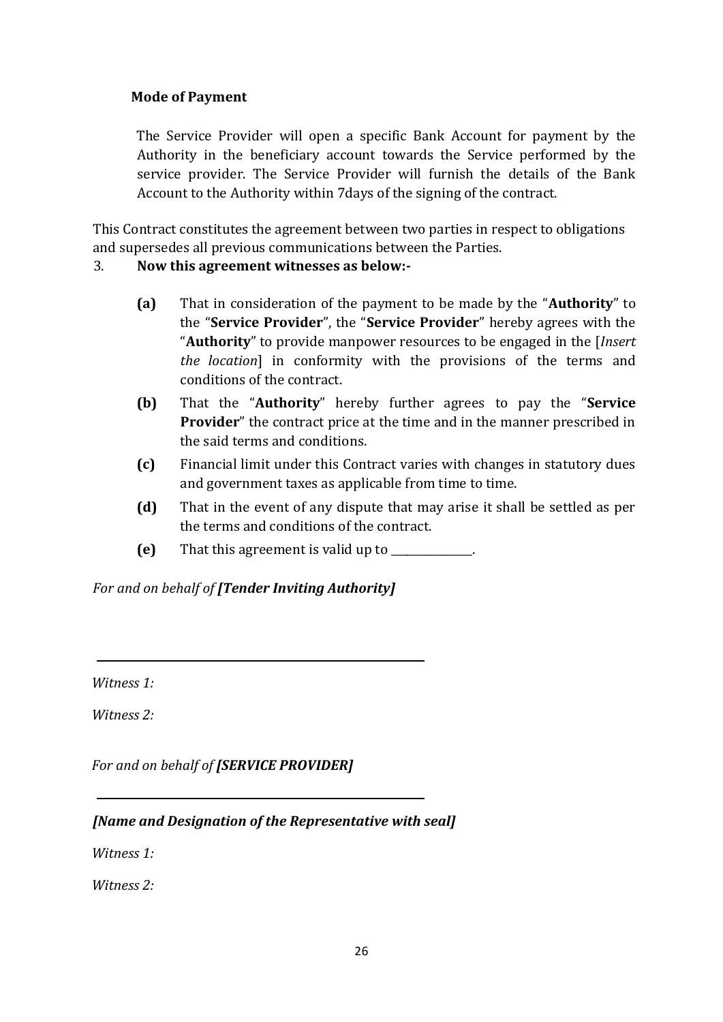### **Mode of Payment**

The Service Provider will open a specific Bank Account for payment by the Authority in the beneficiary account towards the Service performed by the service provider. The Service Provider will furnish the details of the Bank Account to the Authority within 7days of the signing of the contract.

This Contract constitutes the agreement between two parties in respect to obligations and supersedes all previous communications between the Parties.

### 3. **Now this agreement witnesses as below:-**

- **(a)** That in consideration of the payment to be made by the "**Authority**" to the "**Service Provider**", the "**Service Provider**" hereby agrees with the "**Authority**" to provide manpower resources to be engaged in the [*Insert the location*] in conformity with the provisions of the terms and conditions of the contract.
- **(b)** That the "**Authority**" hereby further agrees to pay the "**Service Provider**" the contract price at the time and in the manner prescribed in the said terms and conditions.
- **(c)** Financial limit under this Contract varies with changes in statutory dues and government taxes as applicable from time to time.
- **(d)** That in the event of any dispute that may arise it shall be settled as per the terms and conditions of the contract.
- **(e)** That this agreement is valid up to \_\_\_\_\_\_\_\_\_\_\_\_\_\_\_.

*For and on behalf of [Tender Inviting Authority]* 

*Witness 1:* 

*Witness 2:*

*For and on behalf of [SERVICE PROVIDER]* 

### *[Name and Designation of the Representative with seal]*

*Witness 1:* 

*Witness 2:*